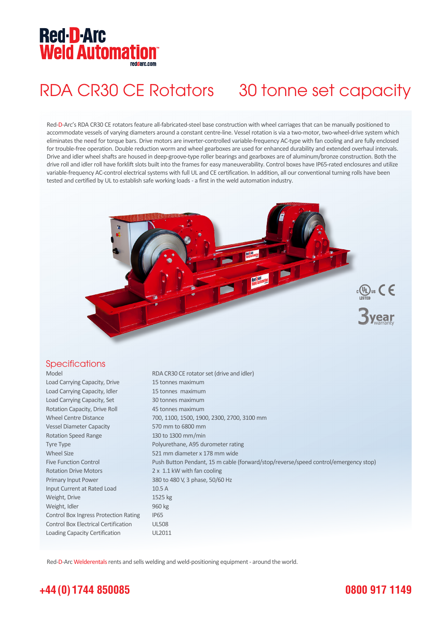## **Red-D-Arc Weld Automation®**

# RDA CR30 CE Rotators 30 tonne set capacity

Red-D-Arc's RDA CR30 CE rotators feature all-fabricated-steel base construction with wheel carriages that can be manually positioned to accommodate vessels of varying diameters around a constant centre-line. Vessel rotation is via a two-motor, two-wheel-drive system which eliminates the need for torque bars. Drive motors are inverter-controlled variable-frequency AC-type with fan cooling and are fully enclosed for trouble-free operation. Double reduction worm and wheel gearboxes are used for enhanced durability and extended overhaul intervals. Drive and idler wheel shafts are housed in deep-groove-type roller bearings and gearboxes are of aluminum/bronze construction. Both the drive roll and idler roll have forklift slots built into the frames for easy maneuverability. Control boxes have IP65-rated enclosures and utilize variable-frequency AC-control electrical systems with full UL and CE certification. In addition, all our conventional turning rolls have been tested and certified by UL to establish safe working loads - a first in the weld automation industry.



### **Specifications**

| Model                                        | RDA CR30 CE rotator set (drive and idler)                                           |
|----------------------------------------------|-------------------------------------------------------------------------------------|
| Load Carrying Capacity, Drive                | 15 tonnes maximum                                                                   |
| Load Carrying Capacity, Idler                | 15 tonnes maximum                                                                   |
| Load Carrying Capacity, Set                  | 30 tonnes maximum                                                                   |
| Rotation Capacity, Drive Roll                | 45 tonnes maximum                                                                   |
| <b>Wheel Centre Distance</b>                 | 700, 1100, 1500, 1900, 2300, 2700, 3100 mm                                          |
| <b>Vessel Diameter Capacity</b>              | 570 mm to 6800 mm                                                                   |
| <b>Rotation Speed Range</b>                  | 130 to 1300 mm/min                                                                  |
| <b>Tyre Type</b>                             | Polyurethane, A95 durometer rating                                                  |
| <b>Wheel Size</b>                            | 521 mm diameter x 178 mm wide                                                       |
| <b>Five Function Control</b>                 | Push Button Pendant, 15 m cable (forward/stop/reverse/speed control/emergency stop) |
| <b>Rotation Drive Motors</b>                 | 2 x 1.1 kW with fan cooling                                                         |
| Primary Input Power                          | 380 to 480 V, 3 phase, 50/60 Hz                                                     |
| Input Current at Rated Load                  | 10.5A                                                                               |
| Weight, Drive                                | 1525 kg                                                                             |
| Weight, Idler                                | 960 kg                                                                              |
| <b>Control Box Ingress Protection Rating</b> | IP <sub>65</sub>                                                                    |
| <b>Control Box Electrical Certification</b>  | <b>UL508</b>                                                                        |
| Loading Capacity Certification               | UL2011                                                                              |

Red-D-Arc Welderentals rents and sells welding and weld-positioning equipment - around the world.

### **+44 (0) 1744 850085**

### **0800 917 1149**